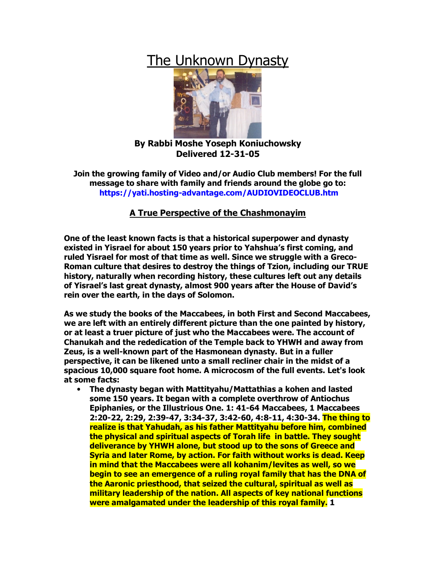## The Unknown Dynasty



**By Rabbi Moshe Yoseph Koniuchowsky Delivered 12-31-05** 

**Join the growing family of Video and/or Audio Club members! For the full message to share with family and friends around the globe go to: https://yati.hosting-advantage.com/AUDIOVIDEOCLUB.htm**

## **A True Perspective of the Chashmonayim**

**One of the least known facts is that a historical superpower and dynasty existed in Yisrael for about 150 years prior to Yahshua's first coming, and ruled Yisrael for most of that time as well. Since we struggle with a Greco-Roman culture that desires to destroy the things of Tzion, including our TRUE history, naturally when recording history, these cultures left out any details of Yisrael's last great dynasty, almost 900 years after the House of David's rein over the earth, in the days of Solomon.** 

**As we study the books of the Maccabees, in both First and Second Maccabees, we are left with an entirely different picture than the one painted by history, or at least a truer picture of just who the Maccabees were. The account of Chanukah and the rededication of the Temple back to YHWH and away from Zeus, is a well-known part of the Hasmonean dynasty. But in a fuller perspective, it can be likened unto a small recliner chair in the midst of a spacious 10,000 square foot home. A microcosm of the full events. Let's look at some facts:** 

• **The dynasty began with Mattityahu/Mattathias a kohen and lasted some 150 years. It began with a complete overthrow of Antiochus Epiphanies, or the Illustrious One. 1: 41-64 Maccabees, 1 Maccabees 2:20-22, 2:29, 2:39-47, 3:34-37, 3:42-60, 4:8-11, 4:30-34. The thing to realize is that Yahudah, as his father Mattityahu before him, combined the physical and spiritual aspects of Torah life in battle. They sought deliverance by YHWH alone, but stood up to the sons of Greece and Syria and later Rome, by action. For faith without works is dead. Keep in mind that the Maccabees were all kohanim/levites as well, so we begin to see an emergence of a ruling royal family that has the DNA of the Aaronic priesthood, that seized the cultural, spiritual as well as military leadership of the nation. All aspects of key national functions were amalgamated under the leadership of this royal family. 1**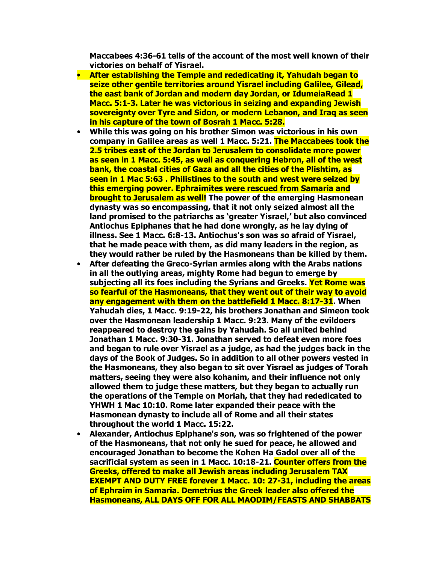**Maccabees 4:36-61 tells of the account of the most well known of their victories on behalf of Yisrael.** 

- **After establishing the Temple and rededicating it, Yahudah began to seize other gentile territories around Yisrael including Galilee, Gilead, the east bank of Jordan and modern day Jordan, or IdumeiaRead 1 Macc. 5:1-3. Later he was victorious in seizing and expanding Jewish sovereignty over Tyre and Sidon, or modern Lebanon, and Iraq as seen in his capture of the town of Bosrah 1 Macc. 5:28.**
- **While this was going on his brother Simon was victorious in his own company in Galilee areas as well 1 Macc. 5:21. The Maccabees took the 2.5 tribes east of the Jordan to Jerusalem to consolidate more power as seen in 1 Macc. 5:45, as well as conquering Hebron, all of the west bank, the coastal cities of Gaza and all the cities of the Plishtim, as seen in 1 Mac 5:63 . Philistines to the south and west were seized by this emerging power. Ephraimites were rescued from Samaria and brought to Jerusalem as well! The power of the emerging Hasmonean dynasty was so encompassing, that it not only seized almost all the land promised to the patriarchs as 'greater Yisrael,' but also convinced Antiochus Epiphanes that he had done wrongly, as he lay dying of illness. See 1 Macc. 6:8-13. Antiochus's son was so afraid of Yisrael, that he made peace with them, as did many leaders in the region, as they would rather be ruled by the Hasmoneans than be killed by them.**
- **After defeating the Greco-Syrian armies along with the Arabs nations in all the outlying areas, mighty Rome had begun to emerge by subjecting all its foes including the Syrians and Greeks. Yet Rome was so fearful of the Hasmoneans, that they went out of their way to avoid any engagement with them on the battlefield 1 Macc. 8:17-31. When Yahudah dies, 1 Macc. 9:19-22, his brothers Jonathan and Simeon took over the Hasmonean leadership 1 Macc. 9:23. Many of the evildoers reappeared to destroy the gains by Yahudah. So all united behind Jonathan 1 Macc. 9:30-31. Jonathan served to defeat even more foes and began to rule over Yisrael as a judge, as had the judges back in the days of the Book of Judges. So in addition to all other powers vested in the Hasmoneans, they also began to sit over Yisrael as judges of Torah matters, seeing they were also kohanim, and their influence not only allowed them to judge these matters, but they began to actually run the operations of the Temple on Moriah, that they had rededicated to YHWH 1 Mac 10:10. Rome later expanded their peace with the Hasmonean dynasty to include all of Rome and all their states throughout the world 1 Macc. 15:22.**
- **Alexander, Antiochus Epiphane's son, was so frightened of the power of the Hasmoneans, that not only he sued for peace, he allowed and encouraged Jonathan to become the Kohen Ha Gadol over all of the sacrificial system as seen in 1 Macc. 10:18-21. Counter offers from the Greeks, offered to make all Jewish areas including Jerusalem TAX EXEMPT AND DUTY FREE forever 1 Macc. 10: 27-31, including the areas of Ephraim in Samaria. Demetrius the Greek leader also offered the Hasmoneans, ALL DAYS OFF FOR ALL MAODIM/FEASTS AND SHABBATS**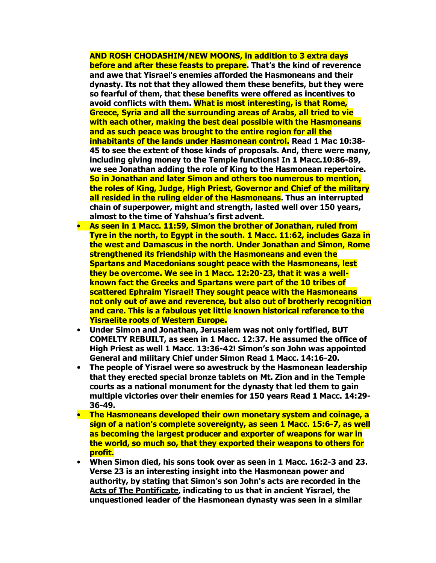## **AND ROSH CHODASHIM/NEW MOONS, in addition to 3 extra days**

**before and after these feasts to prepare. That's the kind of reverence and awe that Yisrael's enemies afforded the Hasmoneans and their dynasty. Its not that they allowed them these benefits, but they were so fearful of them, that these benefits were offered as incentives to avoid conflicts with them. What is most interesting, is that Rome, Greece, Syria and all the surrounding areas of Arabs, all tried to vie with each other, making the best deal possible with the Hasmoneans and as such peace was brought to the entire region for all the inhabitants of the lands under Hasmonean control. Read 1 Mac 10:38- 45 to see the extent of those kinds of proposals. And, there were many, including giving money to the Temple functions! In 1 Macc.10:86-89, we see Jonathan adding the role of King to the Hasmonean repertoire. So in Jonathan and later Simon and others too numerous to mention, the roles of King, Judge, High Priest, Governor and Chief of the military all resided in the ruling elder of the Hasmoneans. Thus an interrupted chain of superpower, might and strength, lasted well over 150 years, almost to the time of Yahshua's first advent.** 

- **As seen in 1 Macc. 11:59, Simon the brother of Jonathan, ruled from Tyre in the north, to Egypt in the south. 1 Macc. 11:62, includes Gaza in the west and Damascus in the north. Under Jonathan and Simon, Rome strengthened its friendship with the Hasmoneans and even the Spartans and Macedonians sought peace with the Hasmoneans, lest they be overcome. We see in 1 Macc. 12:20-23, that it was a wellknown fact the Greeks and Spartans were part of the 10 tribes of scattered Ephraim Yisrael! They sought peace with the Hasmoneans not only out of awe and reverence, but also out of brotherly recognition and care. This is a fabulous yet little known historical reference to the Yisraelite roots of Western Europe.**
- **Under Simon and Jonathan, Jerusalem was not only fortified, BUT COMELTY REBUILT, as seen in 1 Macc. 12:37. He assumed the office of High Priest as well 1 Macc. 13:36-42! Simon's son John was appointed General and military Chief under Simon Read 1 Macc. 14:16-20.**
- **The people of Yisrael were so awestruck by the Hasmonean leadership that they erected special bronze tablets on Mt. Zion and in the Temple courts as a national monument for the dynasty that led them to gain multiple victories over their enemies for 150 years Read 1 Macc. 14:29- 36-49.**
- **The Hasmoneans developed their own monetary system and coinage, a sign of a nation's complete sovereignty, as seen 1 Macc. 15:6-7, as well as becoming the largest producer and exporter of weapons for war in the world, so much so, that they exported their weapons to others for profit.**
- **When Simon died, his sons took over as seen in 1 Macc. 16:2-3 and 23. Verse 23 is an interesting insight into the Hasmonean power and authority, by stating that Simon's son John's acts are recorded in the Acts of The Pontificate, indicating to us that in ancient Yisrael, the unquestioned leader of the Hasmonean dynasty was seen in a similar**